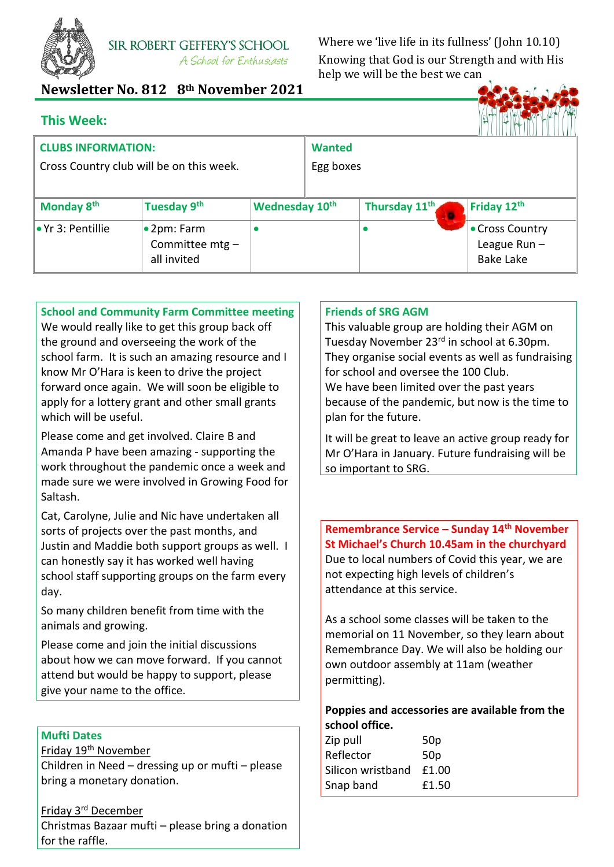

**SIR ROBERT GEFFERY'S SCHOOL** A School for Enthusiasts

Where we 'live life in its fullness' (John 10.10) Knowing that God is our Strength and with His help we will be the best we can

# **Newsletter No. 812 8th November 2021**

|  | <b>This Week:</b> |  |
|--|-------------------|--|
|  |                   |  |



| <b>CLUBS INFORMATION:</b>                |                                       |                | <b>Wanted</b> |                           |                                   |
|------------------------------------------|---------------------------------------|----------------|---------------|---------------------------|-----------------------------------|
| Cross Country club will be on this week. |                                       |                | Egg boxes     |                           |                                   |
|                                          |                                       |                |               |                           |                                   |
| Monday 8 <sup>th</sup>                   | Tuesday 9th                           | Wednesday 10th |               | Thursday 11 <sup>th</sup> | Friday 12th                       |
| • Yr 3: Pentillie                        | $\bullet$ 2pm: Farm<br>Committee mtg- |                |               |                           | • Cross Country<br>League $Run -$ |
|                                          | all invited                           |                |               |                           | <b>Bake Lake</b>                  |

**School and Community Farm Committee meeting**

We would really like to get this group back off the ground and overseeing the work of the school farm. It is such an amazing resource and I know Mr O'Hara is keen to drive the project forward once again. We will soon be eligible to apply for a lottery grant and other small grants which will be useful.

Please come and get involved. Claire B and Amanda P have been amazing - supporting the work throughout the pandemic once a week and made sure we were involved in Growing Food for Saltash.

Cat, Carolyne, Julie and Nic have undertaken all sorts of projects over the past months, and Justin and Maddie both support groups as well. I can honestly say it has worked well having school staff supporting groups on the farm every day.

So many children benefit from time with the animals and growing.

Please come and join the initial discussions about how we can move forward. If you cannot attend but would be happy to support, please give your name to the office.

# **Mufti Dates**

Friday 19th November

Children in Need – dressing up or mufti – please bring a monetary donation.

# Friday 3rd December

Christmas Bazaar mufti – please bring a donation for the raffle.

# **Friends of SRG AGM**

This valuable group are holding their AGM on Tuesday November 23rd in school at 6.30pm. They organise social events as well as fundraising for school and oversee the 100 Club.

We have been limited over the past years because of the pandemic, but now is the time to plan for the future.

It will be great to leave an active group ready for Mr O'Hara in January. Future fundraising will be so important to SRG.

**Remembrance Service – Sunday 14th November St Michael's Church 10.45am in the churchyard** Due to local numbers of Covid this year, we are not expecting high levels of children's attendance at this service.

As a school some classes will be taken to the memorial on 11 November, so they learn about Remembrance Day. We will also be holding our own outdoor assembly at 11am (weather permitting).

# **Poppies and accessories are available from the school office.**

| Zip pull          | 50 <sub>p</sub> |
|-------------------|-----------------|
| Reflector         | 50 <sub>p</sub> |
| Silicon wristband | £1.00           |
| Snap band         | £1.50           |
|                   |                 |